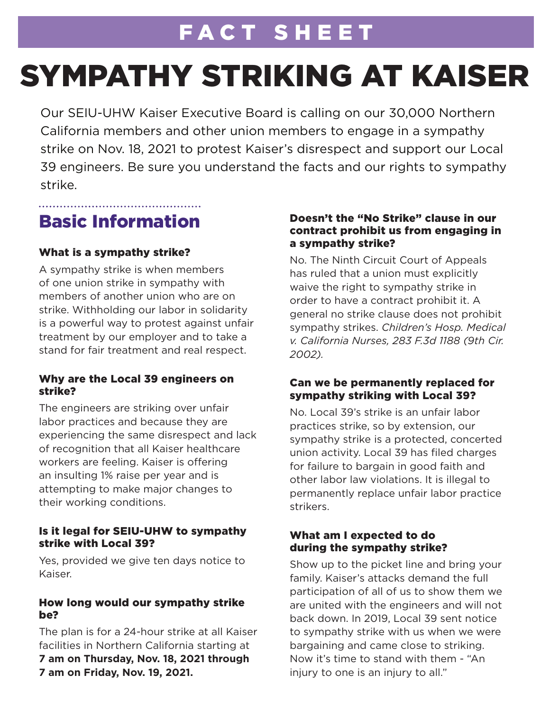# FACT SHEET

# SYMPATHY STRIKING AT KAISER

Our SEIU-UHW Kaiser Executive Board is calling on our 30,000 Northern California members and other union members to engage in a sympathy strike on Nov. 18, 2021 to protest Kaiser's disrespect and support our Local 39 engineers. Be sure you understand the facts and our rights to sympathy strike.

### Basic Information

### What is a sympathy strike?

A sympathy strike is when members of one union strike in sympathy with members of another union who are on strike. Withholding our labor in solidarity is a powerful way to protest against unfair treatment by our employer and to take a stand for fair treatment and real respect.

### Why are the Local 39 engineers on strike?

The engineers are striking over unfair labor practices and because they are experiencing the same disrespect and lack of recognition that all Kaiser healthcare workers are feeling. Kaiser is offering an insulting 1% raise per year and is attempting to make major changes to their working conditions.

### Is it legal for SEIU-UHW to sympathy strike with Local 39?

Yes, provided we give ten days notice to Kaiser.

### How long would our sympathy strike be?

The plan is for a 24-hour strike at all Kaiser facilities in Northern California starting at **7 am on Thursday, Nov. 18, 2021 through 7 am on Friday, Nov. 19, 2021.**

### Doesn't the "No Strike" clause in our contract prohibit us from engaging in a sympathy strike?

No. The Ninth Circuit Court of Appeals has ruled that a union must explicitly waive the right to sympathy strike in order to have a contract prohibit it. A general no strike clause does not prohibit sympathy strikes. *Children's Hosp. Medical v. California Nurses, 283 F.3d 1188 (9th Cir. 2002).* 

### Can we be permanently replaced for sympathy striking with Local 39?

No. Local 39's strike is an unfair labor practices strike, so by extension, our sympathy strike is a protected, concerted union activity. Local 39 has filed charges for failure to bargain in good faith and other labor law violations. It is illegal to permanently replace unfair labor practice strikers.

### What am I expected to do during the sympathy strike?

Show up to the picket line and bring your family. Kaiser's attacks demand the full participation of all of us to show them we are united with the engineers and will not back down. In 2019, Local 39 sent notice to sympathy strike with us when we were bargaining and came close to striking. Now it's time to stand with them - "An injury to one is an injury to all."